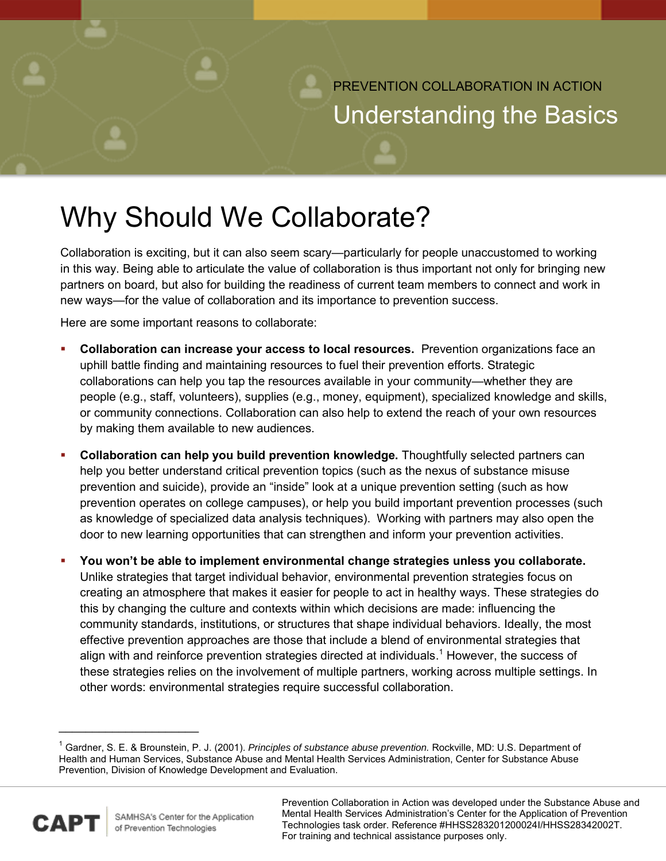PREVENTION COLLABORATION IN ACTION Understanding the Basics

## Why Should We Collaborate?

 Collaboration is exciting, but it can also seem scary—particularly for people unaccustomed to working in this way. Being able to articulate the value of collaboration is thus important not only for bringing new partners on board, but also for building the readiness of current team members to connect and work in new ways—for the value of collaboration and its importance to prevention success.

Here are some important reasons to collaborate:

- **Collaboration can increase your access to local resources.** Prevention organizations face an uphill battle finding and maintaining resources to fuel their prevention efforts. Strategic collaborations can help you tap the resources available in your community—whether they are people (e.g., staff, volunteers), supplies (e.g., money, equipment), specialized knowledge and skills, or community connections. Collaboration can also help to extend the reach of your own resources by making them available to new audiences.
- help you better understand critical prevention topics (such as the nexus of substance misuse prevention and suicide), provide an "inside" look at a unique prevention setting (such as how prevention operates on college campuses), or help you build important prevention processes (such as knowledge of specialized data analysis techniques). Working with partners may also open the door to new learning opportunities that can strengthen and inform your prevention activities. **Collaboration can help you build prevention knowledge.** Thoughtfully selected partners can
- **You won't be able to implement environmental change strategies unless you collaborate.**  Unlike strategies that target individual behavior, environmental prevention strategies focus on creating an atmosphere that makes it easier for people to act in healthy ways. These strategies do this by changing the culture and contexts within which decisions are made: influencing the community standards, institutions, or structures that shape individual behaviors. Ideally, the most effective prevention approaches are those that include a blend of environmental strategies that align with and reinforce prevention strategies directed at individuals.<sup>1</sup> However, the success of these strategies relies on the involvement of multiple partners, working across multiple settings. In other words: environmental strategies require successful collaboration.

<sup>&</sup>lt;sup>1</sup> Gardner, S. E. & Brounstein, P. J. (2001). *Principles of substance abuse prevention.* Rockville, MD: U.S. Department of Prevention, Division of Knowledge Development and Evaluation. Health and Human Services, Substance Abuse and Mental Health Services Administration, Center for Substance Abuse



 $\overline{\phantom{a}}$  , we can assume that the contract of  $\overline{\phantom{a}}$